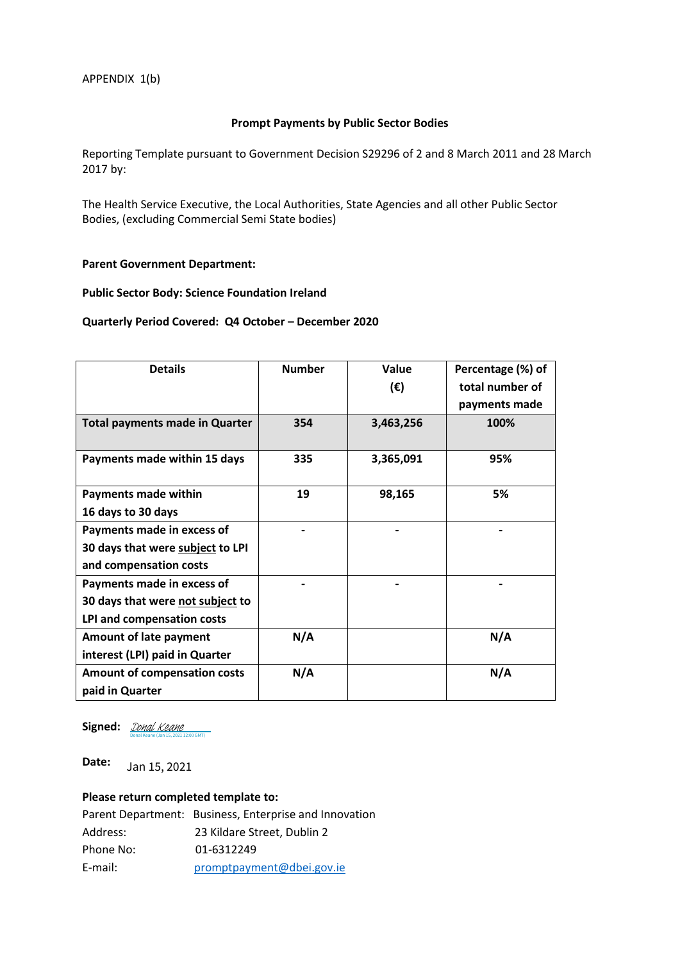#### **Prompt Payments by Public Sector Bodies**

Reporting Template pursuant to Government Decision S29296 of 2 and 8 March 2011 and 28 March 2017 by:

The Health Service Executive, the Local Authorities, State Agencies and all other Public Sector Bodies, (excluding Commercial Semi State bodies)

#### **Parent Government Department:**

#### **Public Sector Body: Science Foundation Ireland**

### **Quarterly Period Covered: Q4 October – December 2020**

| <b>Details</b>                        | <b>Number</b> | Value        | Percentage (%) of |
|---------------------------------------|---------------|--------------|-------------------|
|                                       |               | $(\epsilon)$ | total number of   |
|                                       |               |              | payments made     |
| <b>Total payments made in Quarter</b> | 354           | 3,463,256    | 100%              |
| Payments made within 15 days          | 335           | 3,365,091    | 95%               |
| <b>Payments made within</b>           | 19            | 98,165       | 5%                |
| 16 days to 30 days                    |               |              |                   |
| Payments made in excess of            |               |              |                   |
| 30 days that were subject to LPI      |               |              |                   |
| and compensation costs                |               |              |                   |
| Payments made in excess of            |               |              |                   |
| 30 days that were not subject to      |               |              |                   |
| LPI and compensation costs            |               |              |                   |
| <b>Amount of late payment</b>         | N/A           |              | N/A               |
| interest (LPI) paid in Quarter        |               |              |                   |
| Amount of compensation costs          | N/A           |              | N/A               |
| paid in Quarter                       |               |              |                   |

Signed: **[Donal Keane](https://eu1.documents.adobe.com/verifier?tx=CBJCHBCAABAAh_glSwHG8-R1dhNetBJpDKkYNIS4PR0Q)** Donal Keane (Jan 15, 2021 12:00 GMT)

**Date:**  Jan 15, 2021

#### **Please return completed template to:**

|           | Parent Department: Business, Enterprise and Innovation |
|-----------|--------------------------------------------------------|
| Address:  | 23 Kildare Street, Dublin 2                            |
| Phone No: | 01-6312249                                             |
| E-mail:   | promptpayment@dbei.gov.ie                              |